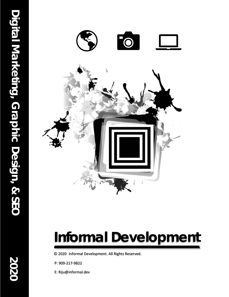

## **Informal Development**

© 2020 Informal Development. All Rights Reserved.

P: 909-217-9822

E: Riju@informal.dev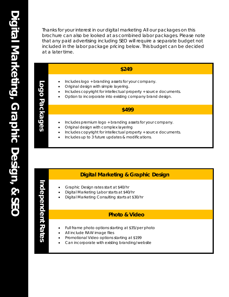Thanks for your interest in our digital marketing All our packages on this brochure can also be looked at as combined labor packages. Please note that any paid advertising including SEO will require a separate budget not included in the labor package pricing below. This budget can be decided at a later time.

#### **\$249**

- Includes logo + branding assets for your company.
- Original design with simple layering.
- Includes copyright for intellectual property + source documents.
- Option to incorporate into existing company brand design.

#### **\$499**

- Includes premium logo + branding assets for your company.
- Original design with complex layering
- Includes copyright for intellectual property + source documents.
- Includes up to 3 future updates & modifications.

#### **Digital Marketing & Graphic Design**

- Graphic Design rates start at \$40/hr
- Digital Marketing Labor starts at \$40/hr
- Digital Marketing Consulting starts at \$30/hr

#### **Photo & Video**

- Full frame photo options starting at \$35/per photo
- All include RAW image files
- Promotional Video options starting at \$199
- Can incorporate with existing branding/website

# **Independent Rates** ndependent Rates

**Logo Packages**

Logo Packages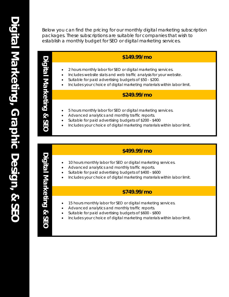Below you can find the pricing for our monthly digital marketing subscription packages. These subscriptions are suitable for companies that wish to establish a monthly budget for SEO or digital marketing services.

#### **\$149.99/mo**

- 2 hours monthly labor for SEO or digital marketing services.
- Includes website stats and web traffic analysis for your website.
- Suitable for paid advertising budgets of \$50 \$200.
- Includes your choice of digital marketing materials within labor limit.

### **\$119.99/month \$249.99/mo**

- 5 hours monthly labor for SEO or digital marketing services.
- Advanced analytics and monthly traffic reports.
- Suitable for paid advertising budgets of \$200 \$400
- Includes your choice of digital marketing materials within labor limit.

#### **\$499.99/mo**

- 10 hours monthly labor for SEO or digital marketing services.
- Advanced analytics and monthly traffic reports.
- Suitable for paid advertising budgets of \$400 \$600
- Includes your choice of digital marketing materials within labor limit.

#### **\$749.99/mo**

- 15 hours monthly labor for SEO or digital marketing services.
- Advanced analytics and monthly traffic reports.
- Suitable for paid advertising budgets of \$600 \$800
- Includes your choice of digital marketing materials within labor limit.

Digital Marketing **Digital Marketing & SEO** & SEO

**Digital Marketing**

Digital Marketing

**& SEO**